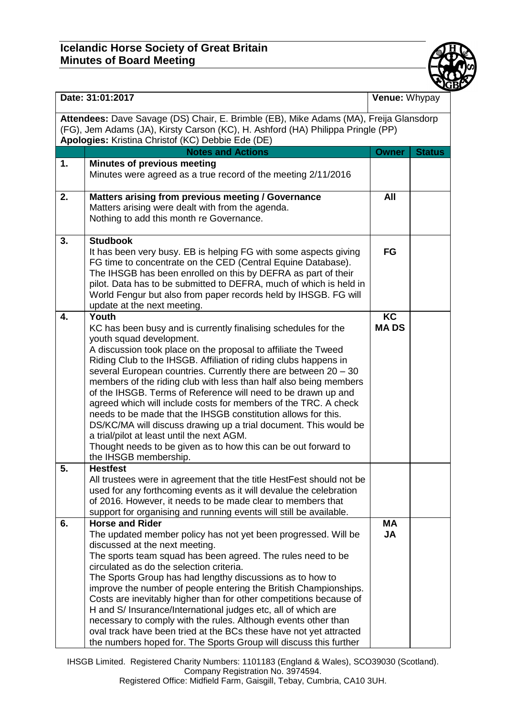

| Date: 31:01:2017                                                                                                                                                                                                              |                                                                                                                                                                                                                                                                                                                                                                                                                                                                                                                                                                                                                                                                                                                                                                                                     | Venue: Whypay            |               |  |  |
|-------------------------------------------------------------------------------------------------------------------------------------------------------------------------------------------------------------------------------|-----------------------------------------------------------------------------------------------------------------------------------------------------------------------------------------------------------------------------------------------------------------------------------------------------------------------------------------------------------------------------------------------------------------------------------------------------------------------------------------------------------------------------------------------------------------------------------------------------------------------------------------------------------------------------------------------------------------------------------------------------------------------------------------------------|--------------------------|---------------|--|--|
| Attendees: Dave Savage (DS) Chair, E. Brimble (EB), Mike Adams (MA), Freija Glansdorp<br>(FG), Jem Adams (JA), Kirsty Carson (KC), H. Ashford (HA) Philippa Pringle (PP)<br>Apologies: Kristina Christof (KC) Debbie Ede (DE) |                                                                                                                                                                                                                                                                                                                                                                                                                                                                                                                                                                                                                                                                                                                                                                                                     |                          |               |  |  |
|                                                                                                                                                                                                                               | <b>Notes and Actions</b>                                                                                                                                                                                                                                                                                                                                                                                                                                                                                                                                                                                                                                                                                                                                                                            | <b>Owner</b>             | <b>Status</b> |  |  |
| 1.                                                                                                                                                                                                                            | <b>Minutes of previous meeting</b><br>Minutes were agreed as a true record of the meeting 2/11/2016                                                                                                                                                                                                                                                                                                                                                                                                                                                                                                                                                                                                                                                                                                 |                          |               |  |  |
| 2.                                                                                                                                                                                                                            | Matters arising from previous meeting / Governance<br>Matters arising were dealt with from the agenda.<br>Nothing to add this month re Governance.                                                                                                                                                                                                                                                                                                                                                                                                                                                                                                                                                                                                                                                  | All                      |               |  |  |
| 3.                                                                                                                                                                                                                            | <b>Studbook</b><br>It has been very busy. EB is helping FG with some aspects giving<br>FG time to concentrate on the CED (Central Equine Database).<br>The IHSGB has been enrolled on this by DEFRA as part of their<br>pilot. Data has to be submitted to DEFRA, much of which is held in<br>World Fengur but also from paper records held by IHSGB. FG will<br>update at the next meeting.                                                                                                                                                                                                                                                                                                                                                                                                        | <b>FG</b>                |               |  |  |
| 4.                                                                                                                                                                                                                            | Youth<br>KC has been busy and is currently finalising schedules for the<br>youth squad development.<br>A discussion took place on the proposal to affiliate the Tweed<br>Riding Club to the IHSGB. Affiliation of riding clubs happens in<br>several European countries. Currently there are between 20 - 30<br>members of the riding club with less than half also being members<br>of the IHSGB. Terms of Reference will need to be drawn up and<br>agreed which will include costs for members of the TRC. A check<br>needs to be made that the IHSGB constitution allows for this.<br>DS/KC/MA will discuss drawing up a trial document. This would be<br>a trial/pilot at least until the next AGM.<br>Thought needs to be given as to how this can be out forward to<br>the IHSGB membership. | <b>KC</b><br><b>MADS</b> |               |  |  |
| 5.                                                                                                                                                                                                                            | <b>Hestfest</b><br>All trustees were in agreement that the title HestFest should not be<br>used for any forthcoming events as it will devalue the celebration<br>of 2016. However, it needs to be made clear to members that<br>support for organising and running events will still be available.                                                                                                                                                                                                                                                                                                                                                                                                                                                                                                  |                          |               |  |  |
| 6.                                                                                                                                                                                                                            | <b>Horse and Rider</b><br>The updated member policy has not yet been progressed. Will be<br>discussed at the next meeting.<br>The sports team squad has been agreed. The rules need to be<br>circulated as do the selection criteria.<br>The Sports Group has had lengthy discussions as to how to<br>improve the number of people entering the British Championships.<br>Costs are inevitably higher than for other competitions because of<br>H and S/ Insurance/International judges etc, all of which are<br>necessary to comply with the rules. Although events other than<br>oval track have been tried at the BCs these have not yet attracted<br>the numbers hoped for. The Sports Group will discuss this further                                                                          | <b>MA</b><br><b>JA</b>   |               |  |  |

IHSGB Limited. Registered Charity Numbers: 1101183 (England & Wales), SCO39030 (Scotland). Company Registration No. 3974594.

Registered Office: Midfield Farm, Gaisgill, Tebay, Cumbria, CA10 3UH.